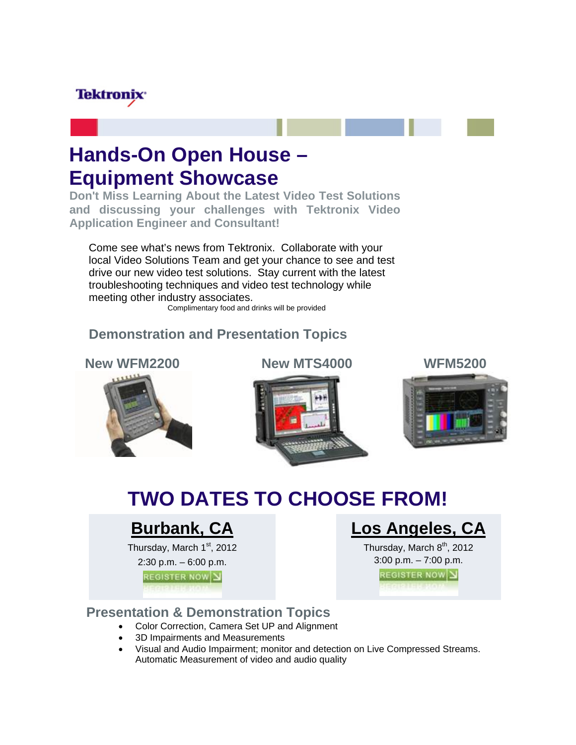## **Tektronix**

# **Hands-On Open House – Equipment Showcase**

**Don't Miss Learning About the Latest Video Test Solutions and discussing your challenges with Tektronix Video Application Engineer and Consultant!** 

Come see what's news from Tektronix. Collaborate with your local Video Solutions Team and get your chance to see and test drive our new video test solutions. Stay current with the latest troubleshooting techniques and video test technology while meeting other industry associates.

Complimentary food and drinks will be provided

### **Demonstration and Presentation Topics**



**New WFM2200 New MTS4000** 



**WFM5200** 



# **TWO DATES TO CHOOSE FROM!**

## **Burbank, CA**

Thursday, March  $1<sup>st</sup>$ , 2012

2:30 p.m. – 6:00 p.m.

**REGISTER NOW Y** 

## **Los Angeles, CA**

Thursday, March  $8<sup>th</sup>$ , 2012 3:00 p.m. – 7:00 p.m.

**REGISTER NOW Y** 

### **Presentation & Demonstration Topics**

- Color Correction, Camera Set UP and Alignment
- 3D Impairments and Measurements
- Visual and Audio Impairment; monitor and detection on Live Compressed Streams. Automatic Measurement of video and audio quality